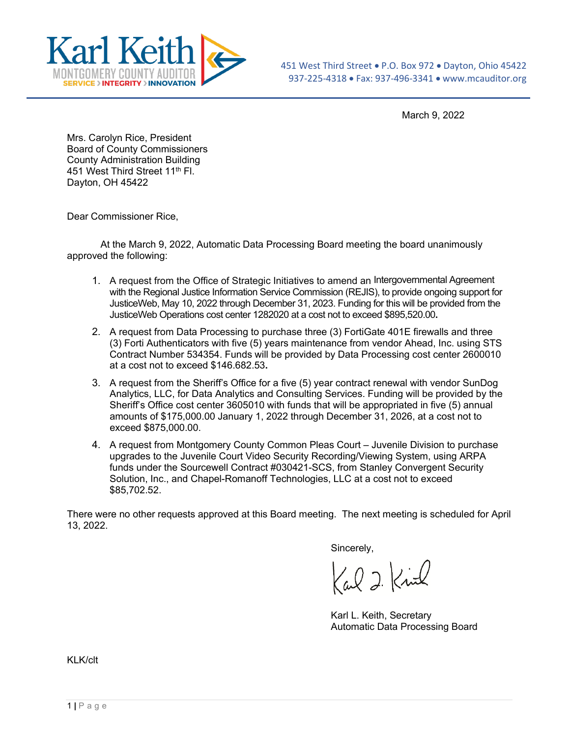

March 9, 2022

Mrs. Carolyn Rice, President Board of County Commissioners County Administration Building 451 West Third Street 11<sup>th</sup> Fl. Dayton, OH 45422

Dear Commissioner Rice,

At the March 9, 2022, Automatic Data Processing Board meeting the board unanimously approved the following:

- 1. A request from the Office of Strategic Initiatives to amend an Intergovernmental Agreement with the Regional Justice Information Service Commission (REJIS), to provide ongoing support for JusticeWeb, May 10, 2022 through December 31, 2023. Funding for this will be provided from the JusticeWeb Operations cost center 1282020 at a cost not to exceed \$895,520.00**.**
- 2. A request from Data Processing to purchase three (3) FortiGate 401E firewalls and three (3) Forti Authenticators with five (5) years maintenance from vendor Ahead, Inc. using STS Contract Number 534354. Funds will be provided by Data Processing cost center 2600010 at a cost not to exceed \$146.682.53**.**
- 3. A request from the Sheriff's Office for a five (5) year contract renewal with vendor SunDog Analytics, LLC, for Data Analytics and Consulting Services. Funding will be provided by the Sheriff's Office cost center 3605010 with funds that will be appropriated in five (5) annual amounts of \$175,000.00 January 1, 2022 through December 31, 2026, at a cost not to exceed \$875,000.00.
- 4. A request from Montgomery County Common Pleas Court Juvenile Division to purchase upgrades to the Juvenile Court Video Security Recording/Viewing System, using ARPA funds under the Sourcewell Contract #030421-SCS, from Stanley Convergent Security Solution, Inc., and Chapel-Romanoff Technologies, LLC at a cost not to exceed \$85,702.52.

There were no other requests approved at this Board meeting. The next meeting is scheduled for April 13, 2022.

Sincerely,

Carl 2 Kind

Karl L. Keith, Secretary Automatic Data Processing Board

KLK/clt